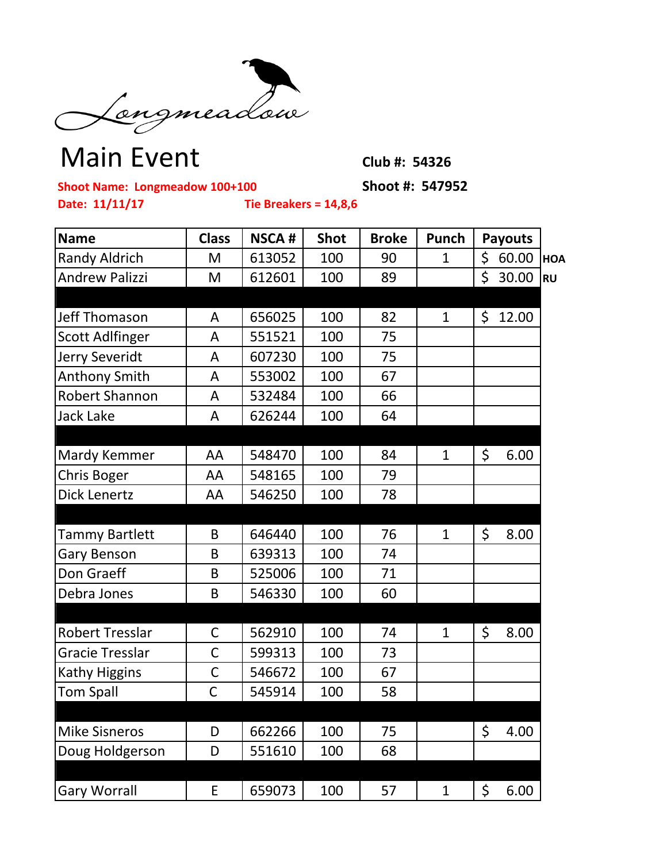

## Main Event Club #: 54326

**Shoot Name: Longmeadow 100+100 Shoot #: 547952**

**Date: 11/11/17 Tie Breakers = 14,8,6**

| <b>Name</b>            | <b>Class</b> | <b>NSCA#</b> | <b>Shot</b> | <b>Broke</b> | Punch        | <b>Payouts</b> |            |
|------------------------|--------------|--------------|-------------|--------------|--------------|----------------|------------|
| <b>Randy Aldrich</b>   | M            | 613052       | 100         | 90           | $\mathbf 1$  | \$<br>60.00    | <b>HOA</b> |
| <b>Andrew Palizzi</b>  | M            | 612601       | 100         | 89           |              | \$<br>30.00    | <b>RU</b>  |
|                        |              |              |             |              |              |                |            |
| <b>Jeff Thomason</b>   | A            | 656025       | 100         | 82           | 1            | \$<br>12.00    |            |
| <b>Scott Adlfinger</b> | A            | 551521       | 100         | 75           |              |                |            |
| Jerry Severidt         | A            | 607230       | 100         | 75           |              |                |            |
| <b>Anthony Smith</b>   | A            | 553002       | 100         | 67           |              |                |            |
| Robert Shannon         | A            | 532484       | 100         | 66           |              |                |            |
| <b>Jack Lake</b>       | A            | 626244       | 100         | 64           |              |                |            |
|                        |              |              |             |              |              |                |            |
| Mardy Kemmer           | AA           | 548470       | 100         | 84           | $\mathbf{1}$ | \$<br>6.00     |            |
| <b>Chris Boger</b>     | AA           | 548165       | 100         | 79           |              |                |            |
| <b>Dick Lenertz</b>    | AA           | 546250       | 100         | 78           |              |                |            |
|                        |              |              |             |              |              |                |            |
| <b>Tammy Bartlett</b>  | B            | 646440       | 100         | 76           | $\mathbf{1}$ | \$<br>8.00     |            |
| <b>Gary Benson</b>     | B            | 639313       | 100         | 74           |              |                |            |
| Don Graeff             | B            | 525006       | 100         | 71           |              |                |            |
| Debra Jones            | B            | 546330       | 100         | 60           |              |                |            |
|                        |              |              |             |              |              |                |            |
| <b>Robert Tresslar</b> | $\mathsf C$  | 562910       | 100         | 74           | $\mathbf{1}$ | \$<br>8.00     |            |
| Gracie Tresslar        | C            | 599313       | 100         | 73           |              |                |            |
| <b>Kathy Higgins</b>   | C            | 546672       | 100         | 67           |              |                |            |
| <b>Tom Spall</b>       | C            | 545914       | 100         | 58           |              |                |            |
|                        |              |              |             |              |              |                |            |
| <b>Mike Sisneros</b>   | D            | 662266       | 100         | 75           |              | \$<br>4.00     |            |
| Doug Holdgerson        | D            | 551610       | 100         | 68           |              |                |            |
|                        |              |              |             |              |              |                |            |
| <b>Gary Worrall</b>    | E            | 659073       | 100         | 57           | 1            | \$<br>6.00     |            |